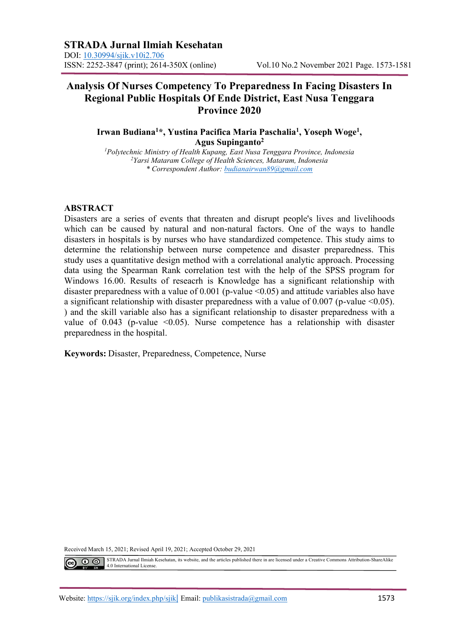# **Analysis Of Nurses Competency To Preparedness In Facing Disasters In Regional Public Hospitals Of Ende District, East Nusa Tenggara Province 2020**

**Irwan Budiana<sup>1</sup>\*, Yustina Pacifica Maria Paschalia<sup>1</sup> , Yoseph Woge<sup>1</sup> , Agus Supinganto<sup>2</sup>**

*<sup>1</sup>Polytechnic Ministry of Health Kupang, East Nusa Tenggara Province, Indonesia <sup>2</sup>Yarsi Mataram College of Health Sciences, Mataram, Indonesia \* Correspondent Author: [budianairwan89@gmail.com](mailto:budianairwan89@gmail.com)*

# **ABSTRACT**

Disasters are a series of events that threaten and disrupt people's lives and livelihoods which can be caused by natural and non-natural factors. One of the ways to handle disasters in hospitals is by nurses who have standardized competence. This study aims to determine the relationship between nurse competence and disaster preparedness. This study uses a quantitative design method with a correlational analytic approach. Processing data using the Spearman Rank correlation test with the help of the SPSS program for Windows 16.00. Results of reseacrh is Knowledge has a significant relationship with disaster preparedness with a value of 0.001 (p-value <0.05) and attitude variables also have a significant relationship with disaster preparedness with a value of  $0.007$  (p-value  $\leq 0.05$ ). ) and the skill variable also has a significant relationship to disaster preparedness with a value of  $0.043$  (p-value  $\leq 0.05$ ). Nurse competence has a relationship with disaster preparedness in the hospital.

**Keywords:** Disaster, Preparedness, Competence, Nurse

Received March 15, 2021; Revised April 19, 2021; Accepted October 29, 2021

STRADA Jurnal Ilmiah Kesehatan, its website, and the articles published there in are licensed under a Creative Commons Attribution-ShareAlike  $\odot$  $\odot$ 4.0 International License.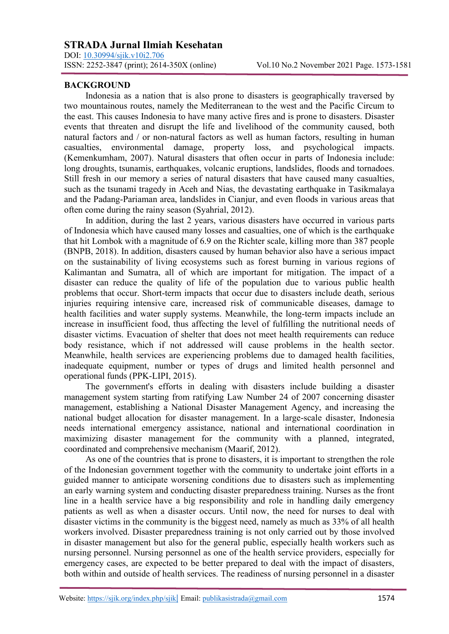DOI: <u>10.30994/sjik.v10i2.706</u><br>ISSN: 2252-3847 (print); 2614-350X (online)

## **BACKGROUND**

Indonesia as a nation that is also prone to disasters is geographically traversed by two mountainous routes, namely the Mediterranean to the west and the Pacific Circum to the east. This causes Indonesia to have many active fires and is prone to disasters. Disaster events that threaten and disrupt the life and livelihood of the community caused, both natural factors and / or non-natural factors as well as human factors, resulting in human casualties, environmental damage, property loss, and psychological impacts. (Kemenkumham, 2007). Natural disasters that often occur in parts of Indonesia include: long droughts, tsunamis, earthquakes, volcanic eruptions, landslides, floods and tornadoes. Still fresh in our memory a series of natural disasters that have caused many casualties, such as the tsunami tragedy in Aceh and Nias, the devastating earthquake in Tasikmalaya and the Padang-Pariaman area, landslides in Cianjur, and even floods in various areas that often come during the rainy season (Syahrial, 2012).

In addition, during the last 2 years, various disasters have occurred in various parts of Indonesia which have caused many losses and casualties, one of which is the earthquake that hit Lombok with a magnitude of 6.9 on the Richter scale, killing more than 387 people (BNPB, 2018). In addition, disasters caused by human behavior also have a serious impact on the sustainability of living ecosystems such as forest burning in various regions of Kalimantan and Sumatra, all of which are important for mitigation. The impact of a disaster can reduce the quality of life of the population due to various public health problems that occur. Short-term impacts that occur due to disasters include death, serious injuries requiring intensive care, increased risk of communicable diseases, damage to health facilities and water supply systems. Meanwhile, the long-term impacts include an increase in insufficient food, thus affecting the level of fulfilling the nutritional needs of disaster victims. Evacuation of shelter that does not meet health requirements can reduce body resistance, which if not addressed will cause problems in the health sector. Meanwhile, health services are experiencing problems due to damaged health facilities, inadequate equipment, number or types of drugs and limited health personnel and operational funds (PPK-LIPI, 2015).

The government's efforts in dealing with disasters include building a disaster management system starting from ratifying Law Number 24 of 2007 concerning disaster management, establishing a National Disaster Management Agency, and increasing the national budget allocation for disaster management. In a large-scale disaster, Indonesia needs international emergency assistance, national and international coordination in maximizing disaster management for the community with a planned, integrated, coordinated and comprehensive mechanism (Maarif, 2012).

As one of the countries that is prone to disasters, it is important to strengthen the role of the Indonesian government together with the community to undertake joint efforts in a guided manner to anticipate worsening conditions due to disasters such as implementing an early warning system and conducting disaster preparedness training. Nurses as the front line in a health service have a big responsibility and role in handling daily emergency patients as well as when a disaster occurs. Until now, the need for nurses to deal with disaster victims in the community is the biggest need, namely as much as 33% of all health workers involved. Disaster preparedness training is not only carried out by those involved in disaster management but also for the general public, especially health workers such as nursing personnel. Nursing personnel as one of the health service providers, especially for emergency cases, are expected to be better prepared to deal with the impact of disasters, both within and outside of health services. The readiness of nursing personnel in a disaster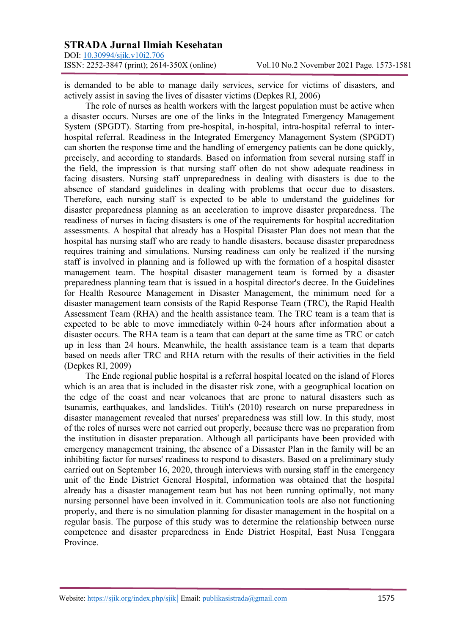DOI: <u>10.30994/sjik.v10i2.706</u><br>ISSN: 2252-3847 (print); 2614-350X (online)

is demanded to be able to manage daily services, service for victims of disasters, and actively assist in saving the lives of disaster victims (Depkes RI, 2006)

The role of nurses as health workers with the largest population must be active when a disaster occurs. Nurses are one of the links in the Integrated Emergency Management System (SPGDT). Starting from pre-hospital, in-hospital, intra-hospital referral to interhospital referral. Readiness in the Integrated Emergency Management System (SPGDT) can shorten the response time and the handling of emergency patients can be done quickly, precisely, and according to standards. Based on information from several nursing staff in the field, the impression is that nursing staff often do not show adequate readiness in facing disasters. Nursing staff unpreparedness in dealing with disasters is due to the absence of standard guidelines in dealing with problems that occur due to disasters. Therefore, each nursing staff is expected to be able to understand the guidelines for disaster preparedness planning as an acceleration to improve disaster preparedness. The readiness of nurses in facing disasters is one of the requirements for hospital accreditation assessments. A hospital that already has a Hospital Disaster Plan does not mean that the hospital has nursing staff who are ready to handle disasters, because disaster preparedness requires training and simulations. Nursing readiness can only be realized if the nursing staff is involved in planning and is followed up with the formation of a hospital disaster management team. The hospital disaster management team is formed by a disaster preparedness planning team that is issued in a hospital director's decree. In the Guidelines for Health Resource Management in Disaster Management, the minimum need for a disaster management team consists of the Rapid Response Team (TRC), the Rapid Health Assessment Team (RHA) and the health assistance team. The TRC team is a team that is expected to be able to move immediately within 0-24 hours after information about a disaster occurs. The RHA team is a team that can depart at the same time as TRC or catch up in less than 24 hours. Meanwhile, the health assistance team is a team that departs based on needs after TRC and RHA return with the results of their activities in the field (Depkes RI, 2009)

The Ende regional public hospital is a referral hospital located on the island of Flores which is an area that is included in the disaster risk zone, with a geographical location on the edge of the coast and near volcanoes that are prone to natural disasters such as tsunamis, earthquakes, and landslides. Titih's (2010) research on nurse preparedness in disaster management revealed that nurses' preparedness was still low. In this study, most of the roles of nurses were not carried out properly, because there was no preparation from the institution in disaster preparation. Although all participants have been provided with emergency management training, the absence of a Dissaster Plan in the family will be an inhibiting factor for nurses' readiness to respond to disasters. Based on a preliminary study carried out on September 16, 2020, through interviews with nursing staff in the emergency unit of the Ende District General Hospital, information was obtained that the hospital already has a disaster management team but has not been running optimally, not many nursing personnel have been involved in it. Communication tools are also not functioning properly, and there is no simulation planning for disaster management in the hospital on a regular basis. The purpose of this study was to determine the relationship between nurse competence and disaster preparedness in Ende District Hospital, East Nusa Tenggara Province.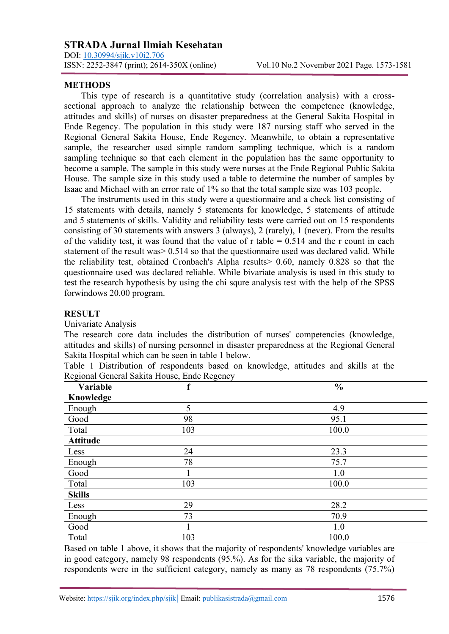DOI: <u>10.30994/sjik.v10i2.706</u><br>ISSN: 2252-3847 (print); 2614-350X (online)

## **METHODS**

This type of research is a quantitative study (correlation analysis) with a crosssectional approach to analyze the relationship between the competence (knowledge, attitudes and skills) of nurses on disaster preparedness at the General Sakita Hospital in Ende Regency. The population in this study were 187 nursing staff who served in the Regional General Sakita House, Ende Regency. Meanwhile, to obtain a representative sample, the researcher used simple random sampling technique, which is a random sampling technique so that each element in the population has the same opportunity to become a sample. The sample in this study were nurses at the Ende Regional Public Sakita House. The sample size in this study used a table to determine the number of samples by Isaac and Michael with an error rate of 1% so that the total sample size was 103 people.

The instruments used in this study were a questionnaire and a check list consisting of 15 statements with details, namely 5 statements for knowledge, 5 statements of attitude and 5 statements of skills. Validity and reliability tests were carried out on 15 respondents consisting of 30 statements with answers 3 (always), 2 (rarely), 1 (never). From the results of the validity test, it was found that the value of r table  $= 0.514$  and the r count in each statement of the result was > 0.514 so that the questionnaire used was declared valid. While the reliability test, obtained Cronbach's Alpha results> 0.60, namely 0.828 so that the questionnaire used was declared reliable. While bivariate analysis is used in this study to test the research hypothesis by using the chi squre analysis test with the help of the SPSS forwindows 20.00 program.

# **RESULT**

## Univariate Analysis

The research core data includes the distribution of nurses' competencies (knowledge, attitudes and skills) of nursing personnel in disaster preparedness at the Regional General Sakita Hospital which can be seen in table 1 below.

| Table 1 Distribution of respondents based on knowledge, attitudes and skills at the |  |  |  |  |  |
|-------------------------------------------------------------------------------------|--|--|--|--|--|
| Regional General Sakita House, Ende Regency                                         |  |  |  |  |  |

| Variable        | f   | $\frac{0}{0}$ |  |
|-----------------|-----|---------------|--|
| Knowledge       |     |               |  |
| Enough          | 5   | 4.9           |  |
| Good            | 98  | 95.1          |  |
| Total           | 103 | 100.0         |  |
| <b>Attitude</b> |     |               |  |
| Less            | 24  | 23.3          |  |
| Enough          | 78  | 75.7          |  |
| Good            |     | 1.0           |  |
| Total           | 103 | 100.0         |  |
| <b>Skills</b>   |     |               |  |
| Less            | 29  | 28.2          |  |
| Enough          | 73  | 70.9          |  |
| Good            |     | 1.0           |  |
| Total           | 103 | 100.0         |  |

Based on table 1 above, it shows that the majority of respondents' knowledge variables are in good category, namely 98 respondents (95.%). As for the sika variable, the majority of respondents were in the sufficient category, namely as many as 78 respondents (75.7%)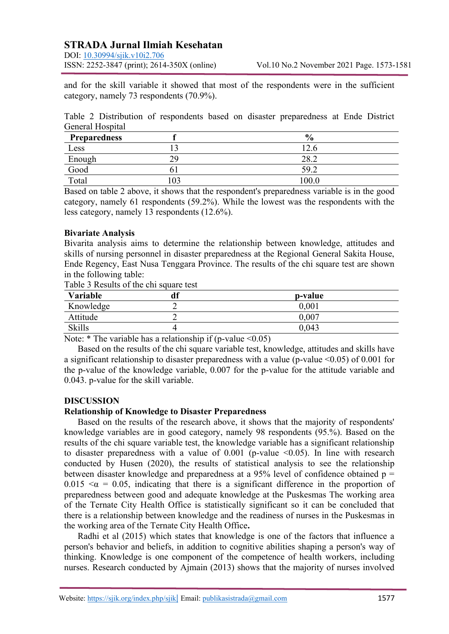DOI: <u>10.30994/sjik.v10i2.706</u><br>ISSN: 2252-3847 (print); 2614-350X (online)

and for the skill variable it showed that most of the respondents were in the sufficient category, namely 73 respondents (70.9%).

Table 2 Distribution of respondents based on disaster preparedness at Ende District General Hospital

| <b>Preparedness</b> |                  | $\mathbf{0}$<br>70 |
|---------------------|------------------|--------------------|
| Less                |                  | ⊥∠.∖               |
| Enough              | າເ<br><u>L</u> . | ∠0.∠               |
| Good                |                  | 59.2               |
| Total               |                  | 100.0              |

Based on table 2 above, it shows that the respondent's preparedness variable is in the good category, namely 61 respondents (59.2%). While the lowest was the respondents with the less category, namely 13 respondents (12.6%).

# **Bivariate Analysis**

Bivarita analysis aims to determine the relationship between knowledge, attitudes and skills of nursing personnel in disaster preparedness at the Regional General Sakita House, Ende Regency, East Nusa Tenggara Province. The results of the chi square test are shown in the following table:

| Table 3 Results of the chi square test |  |
|----------------------------------------|--|
|----------------------------------------|--|

| Variable      | ח ו | p-value   |
|---------------|-----|-----------|
| Knowledge     |     | 0,001     |
| Attitude      |     | $0.007\,$ |
| <b>Skills</b> |     | 0,043     |

Note:  $*$  The variable has a relationship if (p-value <0.05)

Based on the results of the chi square variable test, knowledge, attitudes and skills have a significant relationship to disaster preparedness with a value (p-value  $\leq 0.05$ ) of 0.001 for the p-value of the knowledge variable, 0.007 for the p-value for the attitude variable and 0.043. p-value for the skill variable.

## **DISCUSSION**

## **Relationship of Knowledge to Disaster Preparedness**

Based on the results of the research above, it shows that the majority of respondents' knowledge variables are in good category, namely 98 respondents (95.%). Based on the results of the chi square variable test, the knowledge variable has a significant relationship to disaster preparedness with a value of  $0.001$  (p-value  $\leq 0.05$ ). In line with research conducted by Husen (2020), the results of statistical analysis to see the relationship between disaster knowledge and preparedness at a 95% level of confidence obtained p = 0.015  $\leq \alpha$  = 0.05, indicating that there is a significant difference in the proportion of preparedness between good and adequate knowledge at the Puskesmas The working area of the Ternate City Health Office is statistically significant so it can be concluded that there is a relationship between knowledge and the readiness of nurses in the Puskesmas in the working area of the Ternate City Health Office**.**

Radhi et al (2015) which states that knowledge is one of the factors that influence a person's behavior and beliefs, in addition to cognitive abilities shaping a person's way of thinking. Knowledge is one component of the competence of health workers, including nurses. Research conducted by Ajmain (2013) shows that the majority of nurses involved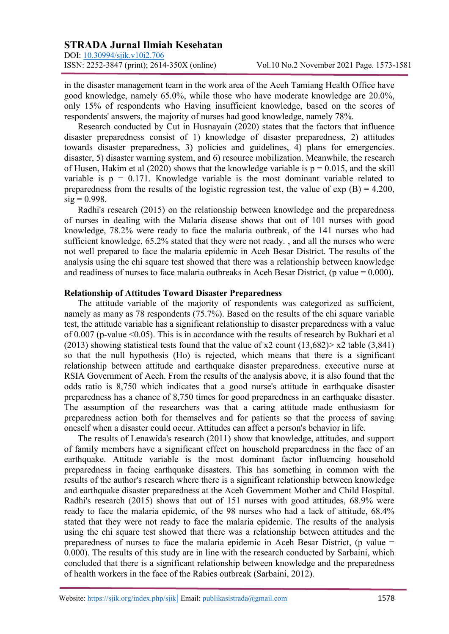DOI: <u>10.30994/sjik.v10i2.706</u><br>ISSN: 2252-3847 (print); 2614-350X (online)

in the disaster management team in the work area of the Aceh Tamiang Health Office have good knowledge, namely 65.0%, while those who have moderate knowledge are 20.0%, only 15% of respondents who Having insufficient knowledge, based on the scores of respondents' answers, the majority of nurses had good knowledge, namely 78%.

Research conducted by Cut in Husnayain (2020) states that the factors that influence disaster preparedness consist of 1) knowledge of disaster preparedness, 2) attitudes towards disaster preparedness, 3) policies and guidelines, 4) plans for emergencies. disaster, 5) disaster warning system, and 6) resource mobilization. Meanwhile, the research of Husen, Hakim et al (2020) shows that the knowledge variable is  $p = 0.015$ , and the skill variable is  $p = 0.171$ . Knowledge variable is the most dominant variable related to preparedness from the results of the logistic regression test, the value of  $\exp(B) = 4.200$ ,  $sig = 0.998$ .

Radhi's research (2015) on the relationship between knowledge and the preparedness of nurses in dealing with the Malaria disease shows that out of 101 nurses with good knowledge, 78.2% were ready to face the malaria outbreak, of the 141 nurses who had sufficient knowledge, 65.2% stated that they were not ready. , and all the nurses who were not well prepared to face the malaria epidemic in Aceh Besar District. The results of the analysis using the chi square test showed that there was a relationship between knowledge and readiness of nurses to face malaria outbreaks in Aceh Besar District, (p value  $= 0.000$ ).

#### **Relationship of Attitudes Toward Disaster Preparedness**

The attitude variable of the majority of respondents was categorized as sufficient, namely as many as 78 respondents (75.7%). Based on the results of the chi square variable test, the attitude variable has a significant relationship to disaster preparedness with a value of 0.007 (p-value <0.05). This is in accordance with the results of research by Bukhari et al (2013) showing statistical tests found that the value of x2 count  $(13,682)$  x2 table  $(3,841)$ so that the null hypothesis (Ho) is rejected, which means that there is a significant relationship between attitude and earthquake disaster preparedness. executive nurse at RSIA Government of Aceh. From the results of the analysis above, it is also found that the odds ratio is 8,750 which indicates that a good nurse's attitude in earthquake disaster preparedness has a chance of 8,750 times for good preparedness in an earthquake disaster. The assumption of the researchers was that a caring attitude made enthusiasm for preparedness action both for themselves and for patients so that the process of saving oneself when a disaster could occur. Attitudes can affect a person's behavior in life.

The results of Lenawida's research (2011) show that knowledge, attitudes, and support of family members have a significant effect on household preparedness in the face of an earthquake. Attitude variable is the most dominant factor influencing household preparedness in facing earthquake disasters. This has something in common with the results of the author's research where there is a significant relationship between knowledge and earthquake disaster preparedness at the Aceh Government Mother and Child Hospital. Radhi's research (2015) shows that out of 151 nurses with good attitudes, 68.9% were ready to face the malaria epidemic, of the 98 nurses who had a lack of attitude, 68.4% stated that they were not ready to face the malaria epidemic. The results of the analysis using the chi square test showed that there was a relationship between attitudes and the preparedness of nurses to face the malaria epidemic in Aceh Besar District, (p value = 0.000). The results of this study are in line with the research conducted by Sarbaini, which concluded that there is a significant relationship between knowledge and the preparedness of health workers in the face of the Rabies outbreak (Sarbaini, 2012).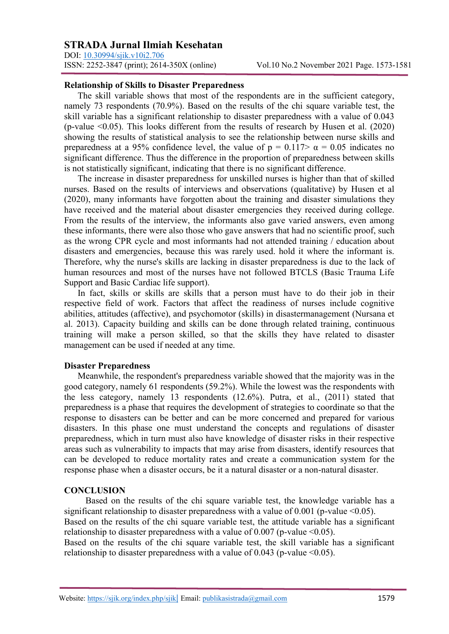DOI: <u>10.30994/sjik.v10i2.706</u><br>ISSN: 2252-3847 (print); 2614-350X (online)

### **Relationship of Skills to Disaster Preparedness**

The skill variable shows that most of the respondents are in the sufficient category, namely 73 respondents (70.9%). Based on the results of the chi square variable test, the skill variable has a significant relationship to disaster preparedness with a value of 0.043 (p-value <0.05). This looks different from the results of research by Husen et al. (2020) showing the results of statistical analysis to see the relationship between nurse skills and preparedness at a 95% confidence level, the value of  $p = 0.117 > \alpha = 0.05$  indicates no significant difference. Thus the difference in the proportion of preparedness between skills is not statistically significant, indicating that there is no significant difference.

The increase in disaster preparedness for unskilled nurses is higher than that of skilled nurses. Based on the results of interviews and observations (qualitative) by Husen et al (2020), many informants have forgotten about the training and disaster simulations they have received and the material about disaster emergencies they received during college. From the results of the interview, the informants also gave varied answers, even among these informants, there were also those who gave answers that had no scientific proof, such as the wrong CPR cycle and most informants had not attended training / education about disasters and emergencies, because this was rarely used. hold it where the informant is. Therefore, why the nurse's skills are lacking in disaster preparedness is due to the lack of human resources and most of the nurses have not followed BTCLS (Basic Trauma Life Support and Basic Cardiac life support).

In fact, skills or skills are skills that a person must have to do their job in their respective field of work. Factors that affect the readiness of nurses include cognitive abilities, attitudes (affective), and psychomotor (skills) in disastermanagement (Nursana et al. 2013). Capacity building and skills can be done through related training, continuous training will make a person skilled, so that the skills they have related to disaster management can be used if needed at any time.

## **Disaster Preparedness**

Meanwhile, the respondent's preparedness variable showed that the majority was in the good category, namely 61 respondents (59.2%). While the lowest was the respondents with the less category, namely 13 respondents (12.6%). Putra, et al., (2011) stated that preparedness is a phase that requires the development of strategies to coordinate so that the response to disasters can be better and can be more concerned and prepared for various disasters. In this phase one must understand the concepts and regulations of disaster preparedness, which in turn must also have knowledge of disaster risks in their respective areas such as vulnerability to impacts that may arise from disasters, identify resources that can be developed to reduce mortality rates and create a communication system for the response phase when a disaster occurs, be it a natural disaster or a non-natural disaster.

#### **CONCLUSION**

Based on the results of the chi square variable test, the knowledge variable has a significant relationship to disaster preparedness with a value of  $0.001$  (p-value  $\leq 0.05$ ).

Based on the results of the chi square variable test, the attitude variable has a significant relationship to disaster preparedness with a value of 0.007 (p-value  $\leq 0.05$ ).

Based on the results of the chi square variable test, the skill variable has a significant relationship to disaster preparedness with a value of 0.043 (p-value  $\leq 0.05$ ).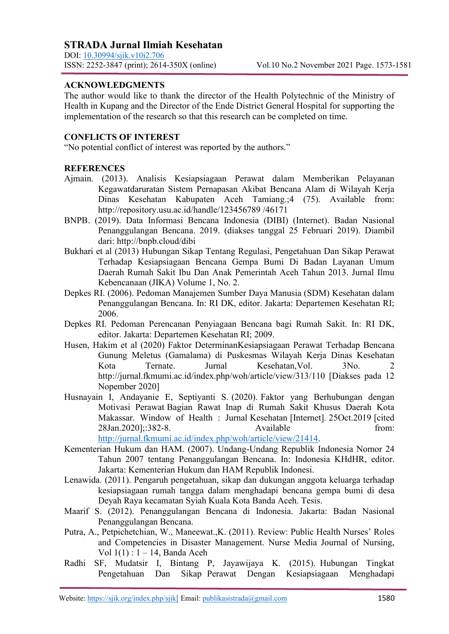DOI: [10.30994/sjik.v10i2.706](https://doi.org/10.30994/sjik.v10i2.706) ISSN: 2252-3847 (print); 2614-350X (online) Vol.10 No.2 November 2021 Page. 1573-1581

# **ACKNOWLEDGMENTS**

The author would like to thank the director of the Health Polytechnic of the Ministry of Health in Kupang and the Director of the Ende District General Hospital for supporting the implementation of the research so that this research can be completed on time.

# **CONFLICTS OF INTEREST**

"No potential conflict of interest was reported by the authors."

## **REFERENCES**

- Ajmain. (2013). Analisis Kesiapsiagaan Perawat dalam Memberikan Pelayanan Kegawatdaruratan Sistem Pernapasan Akibat Bencana Alam di Wilayah Kerja Dinas Kesehatan Kabupaten Aceh Tamiang.;4 (75). Available from: http://repository.usu.ac.id/handle/123456789 /46171
- BNPB. (2019). Data Informasi Bencana Indonesia (DIBI) (Internet). Badan Nasional Penanggulangan Bencana. 2019. (diakses tanggal 25 Februari 2019). Diambil dari: http://bnpb.cloud/dibi
- Bukhari et al (2013) Hubungan Sikap Tentang Regulasi, Pengetahuan Dan Sikap Perawat Terhadap Kesiapsiagaan Bencana Gempa Bumi Di Badan Layanan Umum Daerah Rumah Sakit Ibu Dan Anak Pemerintah Aceh Tahun 2013. Jurnal Ilmu Kebencanaan (JIKA) Volume 1, No. 2.
- Depkes RI. (2006). Pedoman Manajemen Sumber Daya Manusia (SDM) Kesehatan dalam Penanggulangan Bencana. In: RI DK, editor. Jakarta: Departemen Kesehatan RI; 2006.
- Depkes RI. Pedoman Perencanan Penyiagaan Bencana bagi Rumah Sakit. In: RI DK, editor. Jakarta: Departemen Kesehatan RI; 2009.
- Husen, Hakim et al (2020) Faktor DeterminanKesiapsiagaan Perawat Terhadap Bencana Gunung Meletus (Gamalama) di Puskesmas Wilayah Kerja Dinas Kesehatan Kota Ternate. Jurnal Kesehatan, Vol. 3No. http://jurnal.fkmumi.ac.id/index.php/woh/article/view/313/110 [Diakses pada 12 Nopember 2020]
- Husnayain I, Andayanie E, Septiyanti S. (2020). Faktor yang Berhubungan dengan Motivasi Perawat Bagian Rawat Inap di Rumah Sakit Khusus Daerah Kota Makassar. Window of Health : Jurnal Kesehatan [Internet]. 25Oct.2019 [cited 28Jan.2020];:382-8. Available from: [http://jurnal.fkmumi.ac.id/index.php/woh/article/view/21414.](http://jurnal.fkmumi.ac.id/index.php/woh/article/view/21414)

Kementerian Hukum dan HAM. (2007). Undang-Undang Republik Indonesia Nomor 24 Tahun 2007 tentang Penanggulangan Bencana. In: Indonesia KHdHR, editor. Jakarta: Kementerian Hukum dan HAM Republik Indonesi.

- Lenawida. (2011). Pengaruh pengetahuan, sikap dan dukungan anggota keluarga terhadap kesiapsiagaan rumah tangga dalam menghadapi bencana gempa bumi di desa Deyah Raya kecamatan Syiah Kuala Kota Banda Aceh. Tesis.
- Maarif S. (2012). Penanggulangan Bencana di Indonesia. Jakarta: Badan Nasional Penanggulangan Bencana.
- Putra, A., Petpichetchian, W., Maneewat.,K. (2011). Review: Public Health Nurses' Roles and Competencies in Disaster Management. Nurse Media Journal of Nursing, Vol 1(1) : 1 – 14, Banda Aceh
- Radhi SF, Mudatsir I, Bintang P, Jayawijaya K. (2015). Hubungan Tingkat Pengetahuan Dan Sikap Perawat Dengan Kesiapsiagaan Menghadapi